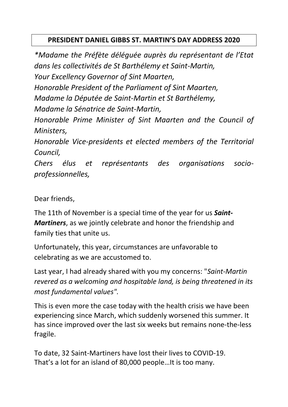## **PRESIDENT DANIEL GIBBS ST. MARTIN'S DAY ADDRESS 2020**

*\*Madame the Préfète déléguée auprès du représentant de l'Etat dans les collectivités de St Barthélemy et Saint-Martin, Your Excellency Governor of Sint Maarten, Honorable President of the Parliament of Sint Maarten, Madame la Députée de Saint-Martin et St Barthélemy, Madame la Sénatrice de Saint-Martin, Honorable Prime Minister of Sint Maarten and the Council of Ministers, Honorable Vice-presidents et elected members of the Territorial Council,*

*Chers élus et représentants des organisations socioprofessionnelles,* 

Dear friends,

The 11th of November is a special time of the year for us *Saint-Martiners*, as we jointly celebrate and honor the friendship and family ties that unite us.

Unfortunately, this year, circumstances are unfavorable to celebrating as we are accustomed to.

Last year, I had already shared with you my concerns: "*Saint-Martin revered as a welcoming and hospitable land, is being threatened in its most fundamental values".*

This is even more the case today with the health crisis we have been experiencing since March, which suddenly worsened this summer. It has since improved over the last six weeks but remains none-the-less fragile.

To date, 32 Saint-Martiners have lost their lives to COVID-19. That's a lot for an island of 80,000 people…It is too many.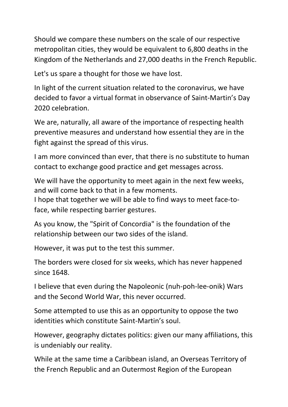Should we compare these numbers on the scale of our respective metropolitan cities, they would be equivalent to 6,800 deaths in the Kingdom of the Netherlands and 27,000 deaths in the French Republic.

Let's us spare a thought for those we have lost.

In light of the current situation related to the coronavirus, we have decided to favor a virtual format in observance of Saint-Martin's Day 2020 celebration.

We are, naturally, all aware of the importance of respecting health preventive measures and understand how essential they are in the fight against the spread of this virus.

I am more convinced than ever, that there is no substitute to human contact to exchange good practice and get messages across.

We will have the opportunity to meet again in the next few weeks, and will come back to that in a few moments.

I hope that together we will be able to find ways to meet face-toface, while respecting barrier gestures.

As you know, the "Spirit of Concordia" is the foundation of the relationship between our two sides of the island.

However, it was put to the test this summer.

The borders were closed for six weeks, which has never happened since 1648.

I believe that even during the Napoleonic (nuh-poh-lee-onik) Wars and the Second World War, this never occurred.

Some attempted to use this as an opportunity to oppose the two identities which constitute Saint-Martin's soul.

However, geography dictates politics: given our many affiliations, this is undeniably our reality.

While at the same time a Caribbean island, an Overseas Territory of the French Republic and an Outermost Region of the European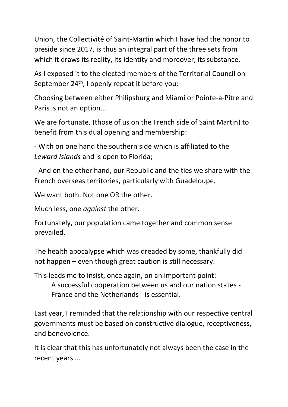Union, the Collectivité of Saint-Martin which I have had the honor to preside since 2017, is thus an integral part of the three sets from which it draws its reality, its identity and moreover, its substance.

As I exposed it to the elected members of the Territorial Council on September 24<sup>th</sup>, I openly repeat it before you:

Choosing between either Philipsburg and Miami or Pointe-à-Pitre and Paris is not an option...

We are fortunate, (those of us on the French side of Saint Martin) to benefit from this dual opening and membership:

- With on one hand the southern side which is affiliated to the *Leward Islands* and is open to Florida;

- And on the other hand, our Republic and the ties we share with the French overseas territories, particularly with Guadeloupe.

We want both. Not one OR the other.

Much less, one *against* the other.

Fortunately, our population came together and common sense prevailed.

The health apocalypse which was dreaded by some, thankfully did not happen – even though great caution is still necessary.

This leads me to insist, once again, on an important point:

A successful cooperation between us and our nation states - France and the Netherlands - is essential.

Last year, I reminded that the relationship with our respective central governments must be based on constructive dialogue, receptiveness, and benevolence.

It is clear that this has unfortunately not always been the case in the recent years ...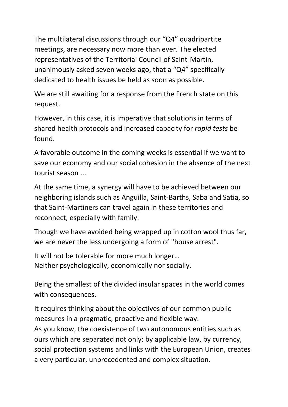The multilateral discussions through our "Q4" quadripartite meetings, are necessary now more than ever. The elected representatives of the Territorial Council of Saint-Martin, unanimously asked seven weeks ago, that a "Q4" specifically dedicated to health issues be held as soon as possible.

We are still awaiting for a response from the French state on this request.

However, in this case, it is imperative that solutions in terms of shared health protocols and increased capacity for *rapid tests* be found.

A favorable outcome in the coming weeks is essential if we want to save our economy and our social cohesion in the absence of the next tourist season ...

At the same time, a synergy will have to be achieved between our neighboring islands such as Anguilla, Saint-Barths, Saba and Satia, so that Saint-Martiners can travel again in these territories and reconnect, especially with family.

Though we have avoided being wrapped up in cotton wool thus far, we are never the less undergoing a form of "house arrest".

It will not be tolerable for more much longer… Neither psychologically, economically nor socially.

Being the smallest of the divided insular spaces in the world comes with consequences.

It requires thinking about the objectives of our common public measures in a pragmatic, proactive and flexible way. As you know, the coexistence of two autonomous entities such as ours which are separated not only: by applicable law, by currency,

social protection systems and links with the European Union, creates a very particular, unprecedented and complex situation.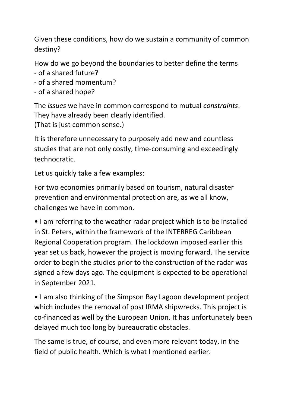Given these conditions, how do we sustain a community of common destiny?

How do we go beyond the boundaries to better define the terms - of a shared future?

- of a shared momentum?
- of a shared hope?

The *issues* we have in common correspond to mutual *constraints*. They have already been clearly identified. (That is just common sense.)

It is therefore unnecessary to purposely add new and countless studies that are not only costly, time-consuming and exceedingly technocratic.

Let us quickly take a few examples:

For two economies primarily based on tourism, natural disaster prevention and environmental protection are, as we all know, challenges we have in common.

• I am referring to the weather radar project which is to be installed in St. Peters, within the framework of the INTERREG Caribbean Regional Cooperation program. The lockdown imposed earlier this year set us back, however the project is moving forward. The service order to begin the studies prior to the construction of the radar was signed a few days ago. The equipment is expected to be operational in September 2021.

• I am also thinking of the Simpson Bay Lagoon development project which includes the removal of post IRMA shipwrecks. This project is co-financed as well by the European Union. It has unfortunately been delayed much too long by bureaucratic obstacles.

The same is true, of course, and even more relevant today, in the field of public health. Which is what I mentioned earlier.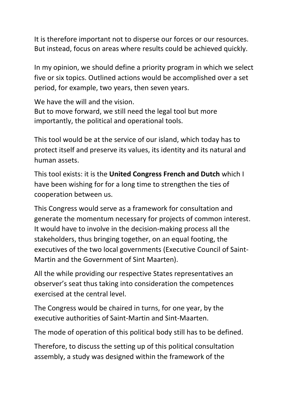It is therefore important not to disperse our forces or our resources. But instead, focus on areas where results could be achieved quickly.

In my opinion, we should define a priority program in which we select five or six topics. Outlined actions would be accomplished over a set period, for example, two years, then seven years.

We have the will and the vision. But to move forward, we still need the legal tool but more importantly, the political and operational tools.

This tool would be at the service of our island, which today has to protect itself and preserve its values, its identity and its natural and human assets.

This tool exists: it is the **United Congress French and Dutch** which I have been wishing for for a long time to strengthen the ties of cooperation between us.

This Congress would serve as a framework for consultation and generate the momentum necessary for projects of common interest. It would have to involve in the decision-making process all the stakeholders, thus bringing together, on an equal footing, the executives of the two local governments (Executive Council of Saint-Martin and the Government of Sint Maarten).

All the while providing our respective States representatives an observer's seat thus taking into consideration the competences exercised at the central level.

The Congress would be chaired in turns, for one year, by the executive authorities of Saint-Martin and Sint-Maarten.

The mode of operation of this political body still has to be defined.

Therefore, to discuss the setting up of this political consultation assembly, a study was designed within the framework of the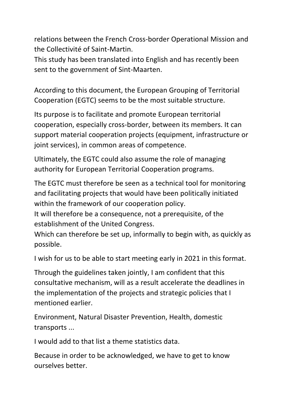relations between the French Cross-border Operational Mission and the Collectivité of Saint-Martin.

This study has been translated into English and has recently been sent to the government of Sint-Maarten.

According to this document, the European Grouping of Territorial Cooperation (EGTC) seems to be the most suitable structure.

Its purpose is to facilitate and promote European territorial cooperation, especially cross-border, between its members. It can support material cooperation projects (equipment, infrastructure or joint services), in common areas of competence.

Ultimately, the EGTC could also assume the role of managing authority for European Territorial Cooperation programs.

The EGTC must therefore be seen as a technical tool for monitoring and facilitating projects that would have been politically initiated within the framework of our cooperation policy.

It will therefore be a consequence, not a prerequisite, of the establishment of the United Congress.

Which can therefore be set up, informally to begin with, as quickly as possible.

I wish for us to be able to start meeting early in 2021 in this format.

Through the guidelines taken jointly, I am confident that this consultative mechanism, will as a result accelerate the deadlines in the implementation of the projects and strategic policies that I mentioned earlier.

Environment, Natural Disaster Prevention, Health, domestic transports ...

I would add to that list a theme statistics data.

Because in order to be acknowledged, we have to get to know ourselves better.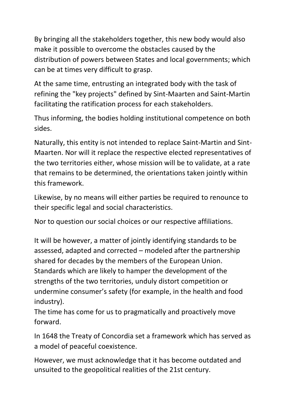By bringing all the stakeholders together, this new body would also make it possible to overcome the obstacles caused by the distribution of powers between States and local governments; which can be at times very difficult to grasp.

At the same time, entrusting an integrated body with the task of refining the "key projects" defined by Sint-Maarten and Saint-Martin facilitating the ratification process for each stakeholders.

Thus informing, the bodies holding institutional competence on both sides.

Naturally, this entity is not intended to replace Saint-Martin and Sint-Maarten. Nor will it replace the respective elected representatives of the two territories either, whose mission will be to validate, at a rate that remains to be determined, the orientations taken jointly within this framework.

Likewise, by no means will either parties be required to renounce to their specific legal and social characteristics.

Nor to question our social choices or our respective affiliations.

It will be however, a matter of jointly identifying standards to be assessed, adapted and corrected – modeled after the partnership shared for decades by the members of the European Union. Standards which are likely to hamper the development of the strengths of the two territories, unduly distort competition or undermine consumer's safety (for example, in the health and food industry).

The time has come for us to pragmatically and proactively move forward.

In 1648 the Treaty of Concordia set a framework which has served as a model of peaceful coexistence.

However, we must acknowledge that it has become outdated and unsuited to the geopolitical realities of the 21st century.